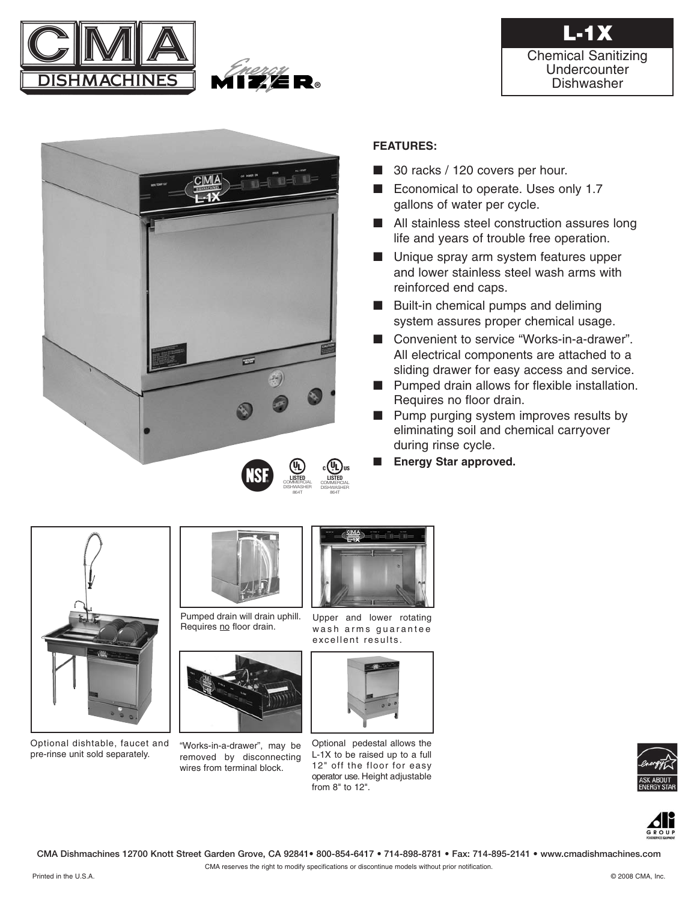



## **FEATURES:**

- 30 racks / 120 covers per hour.
- Economical to operate. Uses only 1.7 gallons of water per cycle.
- All stainless steel construction assures long life and years of trouble free operation.
- Unique spray arm system features upper and lower stainless steel wash arms with reinforced end caps.
- Built-in chemical pumps and deliming system assures proper chemical usage.
- Convenient to service "Works-in-a-drawer". All electrical components are attached to a sliding drawer for easy access and service.
- Pumped drain allows for flexible installation. Requires no floor drain.
- Pump purging system improves results by eliminating soil and chemical carryover during rinse cycle.
- **Energy Star approved.**



Optional dishtable, faucet and pre-rinse unit sold separately.



DISHWASHER 864T

DISHWASHER 864T

Pumped drain will drain uphill. Requires no floor drain.



"Works-in-a-drawer", may be removed by disconnecting wires from terminal block.



Upper and lower rotating wash arms guarantee excellent results.



Optional pedestal allows the L-1X to be raised up to a full 12" off the floor for easy operator use. Height adjustable from 8" to 12".





CMA Dishmachines 12700 Knott Street Garden Grove, CA 92841• 800-854-6417 • 714-898-8781 • Fax: 714-895-2141 • www.cmadishmachines.com